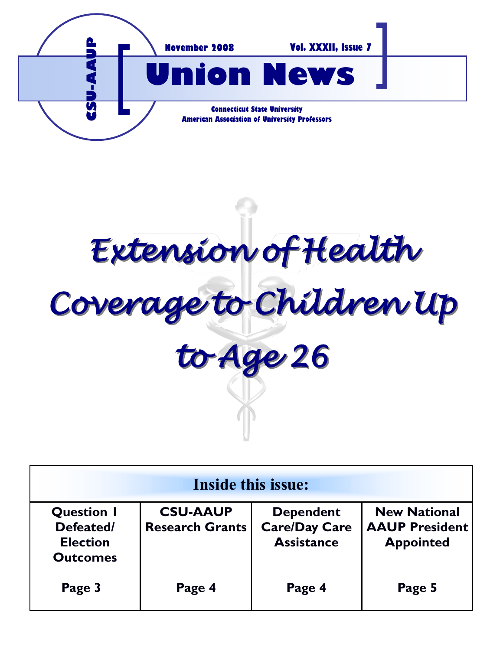

*Extension of Health Coverage to Children Up to Age 26*

| Inside this issue:                                                   |                                           |                                                               |                                                                  |
|----------------------------------------------------------------------|-------------------------------------------|---------------------------------------------------------------|------------------------------------------------------------------|
| <b>Question I</b><br>Defeated/<br><b>Election</b><br><b>Outcomes</b> | <b>CSU-AAUP</b><br><b>Research Grants</b> | <b>Dependent</b><br><b>Care/Day Care</b><br><b>Assistance</b> | <b>New National</b><br><b>AAUP President</b><br><b>Appointed</b> |
| Page 3                                                               | Page 4                                    | Page 4                                                        | Page 5                                                           |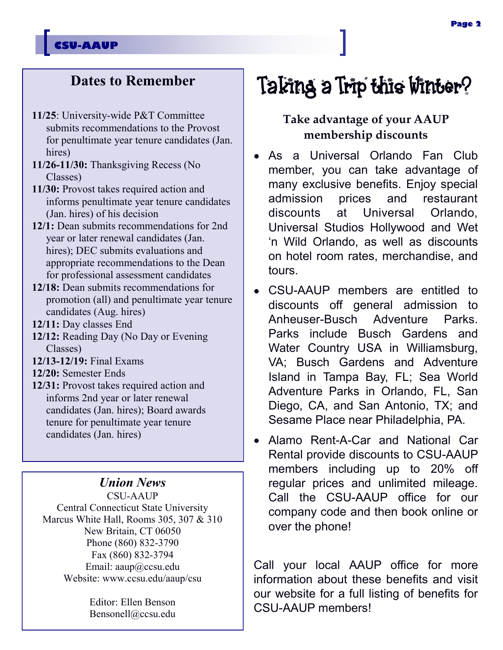#### **CSU-AAUP**

### **Dates to Remember**

- **11/25**: University-wide P&T Committee submits recommendations to the Provost for penultimate year tenure candidates (Jan. hires)
- **11/26-11/30:** Thanksgiving Recess (No Classes)
- **11/30:** Provost takes required action and informs penultimate year tenure candidates (Jan. hires) of his decision
- **12/1:** Dean submits recommendations for 2nd year or later renewal candidates (Jan. hires); DEC submits evaluations and appropriate recommendations to the Dean for professional assessment candidates
- **12/18:** Dean submits recommendations for promotion (all) and penultimate year tenure candidates (Aug. hires)
- **12/11:** Day classes End
- **12/12:** Reading Day (No Day or Evening Classes)
- **12/13-12/19:** Final Exams
- **12/20:** Semester Ends
- **12/31:** Provost takes required action and informs 2nd year or later renewal candidates (Jan. hires); Board awards tenure for penultimate year tenure candidates (Jan. hires)

#### *Union News*

CSU-AAUP Central Connecticut State University Marcus White Hall, Rooms 305, 307 & 310 New Britain, CT 06050 Phone (860) 832-3790 Fax (860) 832-3794 Email: aaup@ccsu.edu Website: www.ccsu.edu/aaup/csu

> Editor: Ellen Benson Bensonell@ccsu.edu

# Taking a Trip this Winter?

#### **Take advantage of your AAUP membership discounts**

- As a Universal Orlando Fan Club member, you can take advantage of many exclusive benefits. Enjoy special admission prices and restaurant discounts at Universal Orlando, Universal Studios Hollywood and Wet 'n Wild Orlando, as well as discounts on hotel room rates, merchandise, and tours.
- CSU-AAUP members are entitled to discounts off general admission to Anheuser-Busch Adventure Parks. Parks include Busch Gardens and Water Country USA in Williamsburg, VA; Busch Gardens and Adventure Island in Tampa Bay, FL; Sea World Adventure Parks in Orlando, FL, San Diego, CA, and San Antonio, TX; and Sesame Place near Philadelphia, PA.
- Alamo Rent-A-Car and National Car Rental provide discounts to CSU-AAUP members including up to 20% off regular prices and unlimited mileage. Call the CSU-AAUP office for our company code and then book online or over the phone!

Call your local AAUP office for more information about these benefits and visit our website for a full listing of benefits for CSU-AAUP members!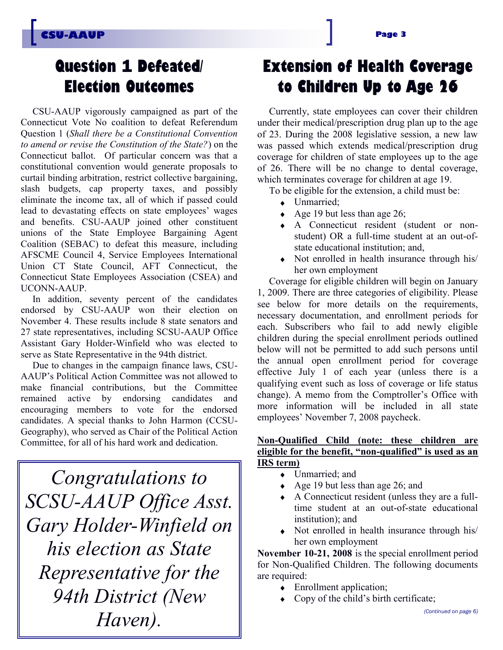### **Question** 1 **Defeated/ Election Outcomes**

CSU-AAUP vigorously campaigned as part of the Connecticut Vote No coalition to defeat Referendum Question 1 (*Shall there be a Constitutional Convention to amend or revise the Constitution of the State?*) on the Connecticut ballot. Of particular concern was that a constitutional convention would generate proposals to curtail binding arbitration, restrict collective bargaining, slash budgets, cap property taxes, and possibly eliminate the income tax, all of which if passed could lead to devastating effects on state employees' wages and benefits. CSU-AAUP joined other constituent unions of the State Employee Bargaining Agent Coalition (SEBAC) to defeat this measure, including AFSCME Council 4, Service Employees International Union CT State Council, AFT Connecticut, the Connecticut State Employees Association (CSEA) and UCONN-AAUP.

In addition, seventy percent of the candidates endorsed by CSU-AAUP won their election on November 4. These results include 8 state senators and 27 state representatives, including SCSU-AAUP Office Assistant Gary Holder-Winfield who was elected to serve as State Representative in the 94th district.

Due to changes in the campaign finance laws, CSU-AAUP's Political Action Committee was not allowed to make financial contributions, but the Committee remained active by endorsing candidates and encouraging members to vote for the endorsed candidates. A special thanks to John Harmon (CCSU-Geography), who served as Chair of the Political Action Committee, for all of his hard work and dedication.

*Congratulations to SCSU-AAUP Office Asst. Gary Holder-Winfield on his election as State Representative for the 94th District (New Haven).* 

## **Extension of Health Coverage to Children Up to Age 26**

Currently, state employees can cover their children under their medical/prescription drug plan up to the age of 23. During the 2008 legislative session, a new law was passed which extends medical/prescription drug coverage for children of state employees up to the age of 26. There will be no change to dental coverage, which terminates coverage for children at age 19.

To be eligible for the extension, a child must be:

- Unmarried:
- $\leftrightarrow$  Age 19 but less than age 26;
- A Connecticut resident (student or nonstudent) OR a full-time student at an out-ofstate educational institution; and,
- Not enrolled in health insurance through his/  $\bullet$ her own employment

Coverage for eligible children will begin on January 1, 2009. There are three categories of eligibility. Please see below for more details on the requirements, necessary documentation, and enrollment periods for each. Subscribers who fail to add newly eligible children during the special enrollment periods outlined below will not be permitted to add such persons until the annual open enrollment period for coverage effective July 1 of each year (unless there is a qualifying event such as loss of coverage or life status change). A memo from the Comptroller's Office with more information will be included in all state employees' November 7, 2008 paycheck.

#### **Non-Qualified Child (note: these children are eligible for the benefit, "non-qualified" is used as an IRS term)**

- Unmarried; and  $\bullet$
- $\leftrightarrow$  Age 19 but less than age 26; and
- $\bullet$ A Connecticut resident (unless they are a fulltime student at an out-of-state educational institution); and
- Not enrolled in health insurance through his/ her own employment

**November 10-21, 2008** is the special enrollment period for Non-Qualified Children. The following documents are required:

- ◆ Enrollment application;
- Copy of the child's birth certificate;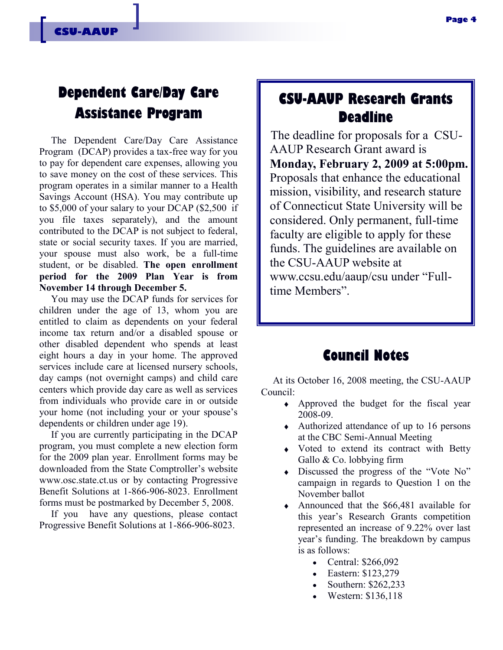### **Dependent Care/Day Care Assistance Program**

The Dependent Care/Day Care Assistance Program (DCAP) provides a tax-free way for you to pay for dependent care expenses, allowing you to save money on the cost of these services. This program operates in a similar manner to a Health Savings Account (HSA). You may contribute up to \$5,000 of your salary to your DCAP (\$2,500 if you file taxes separately), and the amount contributed to the DCAP is not subject to federal, state or social security taxes. If you are married, your spouse must also work, be a full-time student, or be disabled. **The open enrollment period for the 2009 Plan Year is from November 14 through December 5.**

You may use the DCAP funds for services for children under the age of 13, whom you are entitled to claim as dependents on your federal income tax return and/or a disabled spouse or other disabled dependent who spends at least eight hours a day in your home. The approved services include care at licensed nursery schools, day camps (not overnight camps) and child care centers which provide day care as well as services from individuals who provide care in or outside your home (not including your or your spouse's dependents or children under age 19).

If you are currently participating in the DCAP program, you must complete a new election form for the 2009 plan year. Enrollment forms may be downloaded from the State Comptroller's website www.osc.state.ct.us or by contacting Progressive Benefit Solutions at 1-866-906-8023. Enrollment forms must be postmarked by December 5, 2008.

If you have any questions, please contact Progressive Benefit Solutions at 1-866-906-8023.

### **CSU-AAUP Research Grants Deadline**

The deadline for proposals for a CSU-AAUP Research Grant award is **Monday, February 2, 2009 at 5:00pm.** Proposals that enhance the educational mission, visibility, and research stature of Connecticut State University will be considered. Only permanent, full-time faculty are eligible to apply for these funds. The guidelines are available on the CSU-AAUP website at www.ccsu.edu/aaup/csu under "Fulltime Members".

#### **Council Notes**

At its October 16, 2008 meeting, the CSU-AAUP Council:

- Approved the budget for the fiscal year 2008-09.
- Authorized attendance of up to 16 persons at the CBC Semi-Annual Meeting
- Voted to extend its contract with Betty Gallo & Co. lobbying firm
- Discussed the progress of the "Vote No" campaign in regards to Question 1 on the November ballot
- Announced that the \$66,481 available for this year's Research Grants competition represented an increase of 9.22% over last year's funding. The breakdown by campus is as follows:
	- Central: \$266,092
	- Eastern: \$123,279
	- Southern: \$262,233
	- Western: \$136,118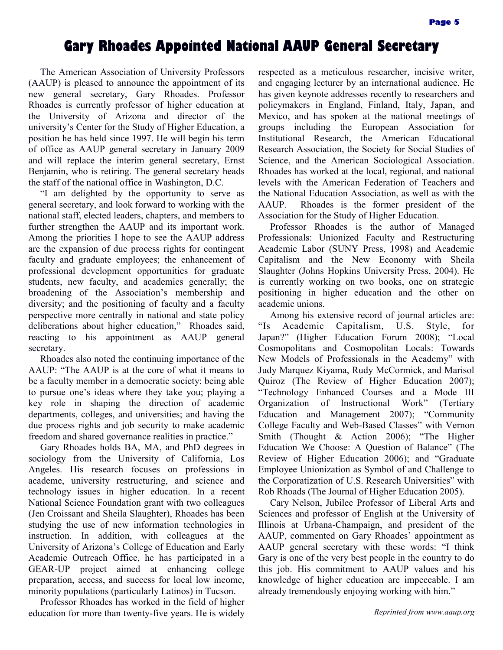#### **Gary Rhoades Appointed National AAUP General Secretary**

The American Association of University Professors (AAUP) is pleased to announce the appointment of its new general secretary, Gary Rhoades. Professor Rhoades is currently professor of higher education at the University of Arizona and director of the university's Center for the Study of Higher Education, a position he has held since 1997. He will begin his term of office as AAUP general secretary in January 2009 and will replace the interim general secretary, Ernst Benjamin, who is retiring. The general secretary heads the staff of the national office in Washington, D.C.

"I am delighted by the opportunity to serve as general secretary, and look forward to working with the national staff, elected leaders, chapters, and members to further strengthen the AAUP and its important work. Among the priorities I hope to see the AAUP address are the expansion of due process rights for contingent faculty and graduate employees; the enhancement of professional development opportunities for graduate students, new faculty, and academics generally; the broadening of the Association's membership and diversity; and the positioning of faculty and a faculty perspective more centrally in national and state policy deliberations about higher education," Rhoades said, reacting to his appointment as AAUP general secretary.

Rhoades also noted the continuing importance of the AAUP: "The AAUP is at the core of what it means to be a faculty member in a democratic society: being able to pursue one's ideas where they take you; playing a key role in shaping the direction of academic departments, colleges, and universities; and having the due process rights and job security to make academic freedom and shared governance realities in practice."

Gary Rhoades holds BA, MA, and PhD degrees in sociology from the University of California, Los Angeles. His research focuses on professions in academe, university restructuring, and science and technology issues in higher education. In a recent National Science Foundation grant with two colleagues (Jen Croissant and Sheila Slaughter), Rhoades has been studying the use of new information technologies in instruction. In addition, with colleagues at the University of Arizona's College of Education and Early Academic Outreach Office, he has participated in a GEAR-UP project aimed at enhancing college preparation, access, and success for local low income, minority populations (particularly Latinos) in Tucson.

Professor Rhoades has worked in the field of higher education for more than twenty-five years. He is widely respected as a meticulous researcher, incisive writer, and engaging lecturer by an international audience. He has given keynote addresses recently to researchers and policymakers in England, Finland, Italy, Japan, and Mexico, and has spoken at the national meetings of groups including the European Association for Institutional Research, the American Educational Research Association, the Society for Social Studies of Science, and the American Sociological Association. Rhoades has worked at the local, regional, and national levels with the American Federation of Teachers and the National Education Association, as well as with the AAUP. Rhoades is the former president of the Association for the Study of Higher Education.

Professor Rhoades is the author of Managed Professionals: Unionized Faculty and Restructuring Academic Labor (SUNY Press, 1998) and Academic Capitalism and the New Economy with Sheila Slaughter (Johns Hopkins University Press, 2004). He is currently working on two books, one on strategic positioning in higher education and the other on academic unions.

Among his extensive record of journal articles are: "Is Academic Capitalism, U.S. Style, for Japan?" (Higher Education Forum 2008); "Local Cosmopolitans and Cosmopolitan Locals: Towards New Models of Professionals in the Academy" with Judy Marquez Kiyama, Rudy McCormick, and Marisol Quiroz (The Review of Higher Education 2007); "Technology Enhanced Courses and a Mode III Organization of Instructional Work" (Tertiary Education and Management 2007); "Community College Faculty and Web-Based Classes" with Vernon Smith (Thought & Action 2006); "The Higher Education We Choose: A Question of Balance" (The Review of Higher Education 2006); and "Graduate Employee Unionization as Symbol of and Challenge to the Corporatization of U.S. Research Universities" with Rob Rhoads (The Journal of Higher Education 2005).

Cary Nelson, Jubilee Professor of Liberal Arts and Sciences and professor of English at the University of Illinois at Urbana-Champaign, and president of the AAUP, commented on Gary Rhoades' appointment as AAUP general secretary with these words: "I think Gary is one of the very best people in the country to do this job. His commitment to AAUP values and his knowledge of higher education are impeccable. I am already tremendously enjoying working with him."